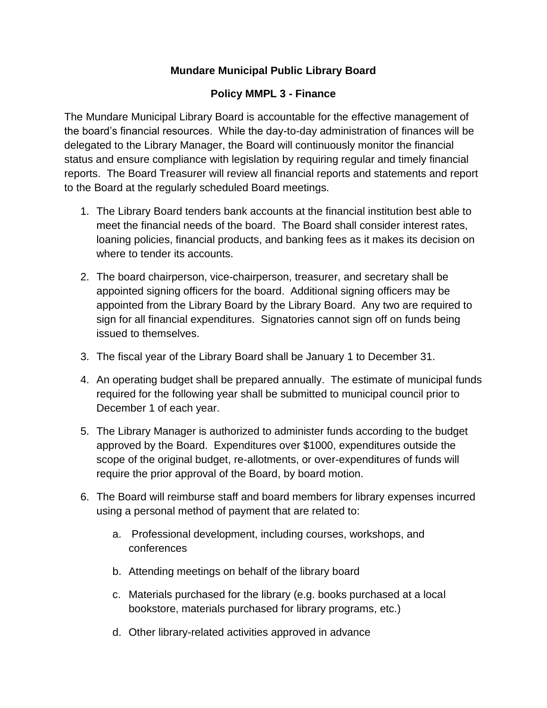### **Mundare Municipal Public Library Board**

#### **Policy MMPL 3 - Finance**

The Mundare Municipal Library Board is accountable for the effective management of the board's financial resources. While the day-to-day administration of finances will be delegated to the Library Manager, the Board will continuously monitor the financial status and ensure compliance with legislation by requiring regular and timely financial reports. The Board Treasurer will review all financial reports and statements and report to the Board at the regularly scheduled Board meetings.

- 1. The Library Board tenders bank accounts at the financial institution best able to meet the financial needs of the board. The Board shall consider interest rates, loaning policies, financial products, and banking fees as it makes its decision on where to tender its accounts.
- 2. The board chairperson, vice-chairperson, treasurer, and secretary shall be appointed signing officers for the board. Additional signing officers may be appointed from the Library Board by the Library Board. Any two are required to sign for all financial expenditures. Signatories cannot sign off on funds being issued to themselves.
- 3. The fiscal year of the Library Board shall be January 1 to December 31.
- 4. An operating budget shall be prepared annually. The estimate of municipal funds required for the following year shall be submitted to municipal council prior to December 1 of each year.
- 5. The Library Manager is authorized to administer funds according to the budget approved by the Board. Expenditures over \$1000, expenditures outside the scope of the original budget, re-allotments, or over-expenditures of funds will require the prior approval of the Board, by board motion.
- 6. The Board will reimburse staff and board members for library expenses incurred using a personal method of payment that are related to:
	- a. Professional development, including courses, workshops, and conferences
	- b. Attending meetings on behalf of the library board
	- c. Materials purchased for the library (e.g. books purchased at a local bookstore, materials purchased for library programs, etc.)
	- d. Other library-related activities approved in advance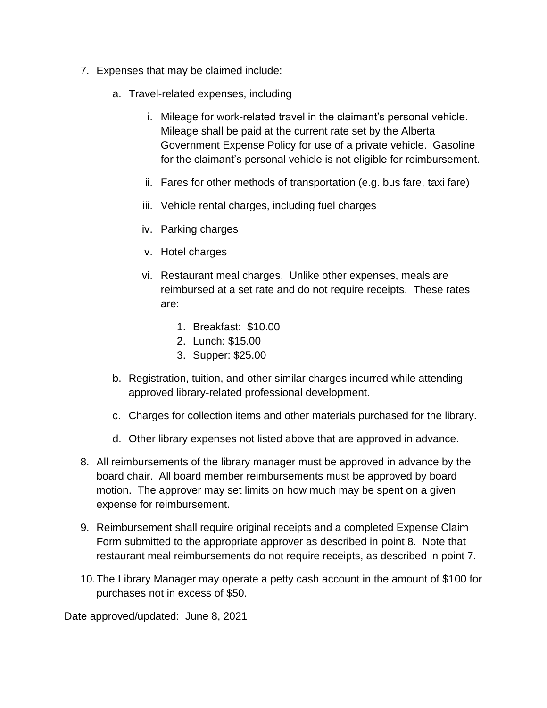- 7. Expenses that may be claimed include:
	- a. Travel-related expenses, including
		- i. Mileage for work-related travel in the claimant's personal vehicle. Mileage shall be paid at the current rate set by the Alberta Government Expense Policy for use of a private vehicle. Gasoline for the claimant's personal vehicle is not eligible for reimbursement.
		- ii. Fares for other methods of transportation (e.g. bus fare, taxi fare)
		- iii. Vehicle rental charges, including fuel charges
		- iv. Parking charges
		- v. Hotel charges
		- vi. Restaurant meal charges. Unlike other expenses, meals are reimbursed at a set rate and do not require receipts. These rates are:
			- 1. Breakfast: \$10.00
			- 2. Lunch: \$15.00
			- 3. Supper: \$25.00
	- b. Registration, tuition, and other similar charges incurred while attending approved library-related professional development.
	- c. Charges for collection items and other materials purchased for the library.
	- d. Other library expenses not listed above that are approved in advance.
- 8. All reimbursements of the library manager must be approved in advance by the board chair. All board member reimbursements must be approved by board motion. The approver may set limits on how much may be spent on a given expense for reimbursement.
- 9. Reimbursement shall require original receipts and a completed Expense Claim Form submitted to the appropriate approver as described in point 8. Note that restaurant meal reimbursements do not require receipts, as described in point 7.
- 10.The Library Manager may operate a petty cash account in the amount of \$100 for purchases not in excess of \$50.

Date approved/updated: June 8, 2021